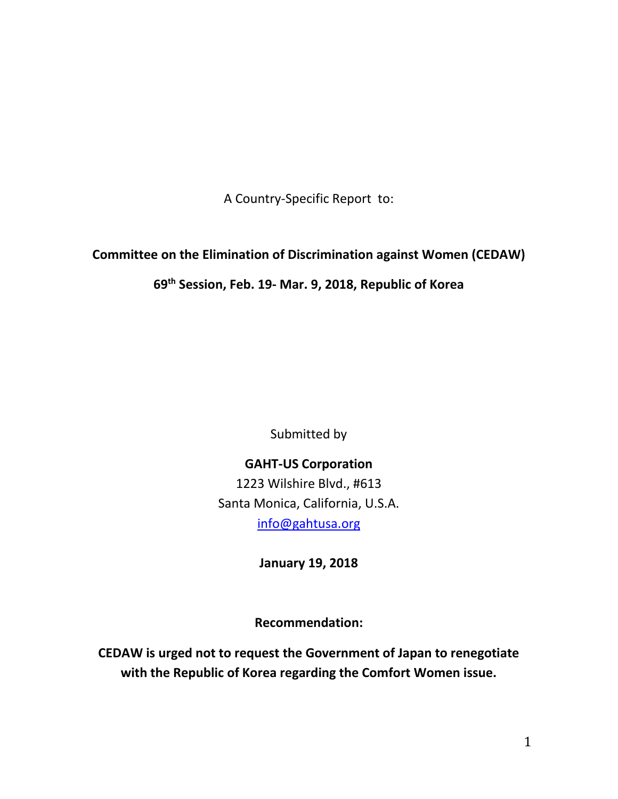A Country-Specific Report to:

# **Committee on the Elimination of Discrimination against Women (CEDAW)**

# **69th Session, Feb. 19- Mar. 9, 2018, Republic of Korea**

Submitted by

**GAHT-US Corporation** 1223 Wilshire Blvd., #613 Santa Monica, California, U.S.A. [info@gahtusa.org](mailto:info@gahtusa.org)

**January 19, 2018**

**Recommendation:**

**CEDAW is urged not to request the Government of Japan to renegotiate with the Republic of Korea regarding the Comfort Women issue.**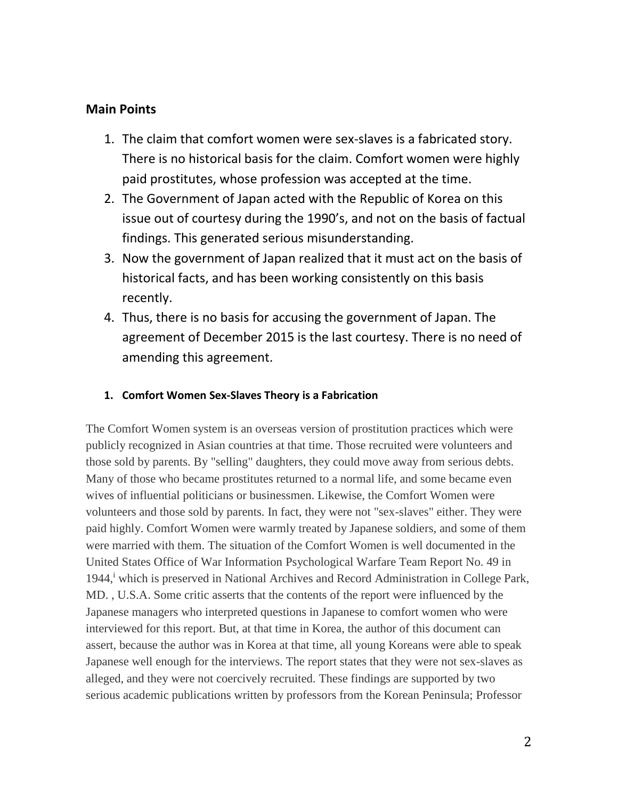### **Main Points**

- 1. The claim that comfort women were sex-slaves is a fabricated story. There is no historical basis for the claim. Comfort women were highly paid prostitutes, whose profession was accepted at the time.
- 2. The Government of Japan acted with the Republic of Korea on this issue out of courtesy during the 1990's, and not on the basis of factual findings. This generated serious misunderstanding.
- 3. Now the government of Japan realized that it must act on the basis of historical facts, and has been working consistently on this basis recently.
- 4. Thus, there is no basis for accusing the government of Japan. The agreement of December 2015 is the last courtesy. There is no need of amending this agreement.

#### **1. Comfort Women Sex-Slaves Theory is a Fabrication**

The Comfort Women system is an overseas version of prostitution practices which were publicly recognized in Asian countries at that time. Those recruited were volunteers and those sold by parents. By "selling" daughters, they could move away from serious debts. Many of those who became prostitutes returned to a normal life, and some became even wives of influential politicians or businessmen. Likewise, the Comfort Women were volunteers and those sold by parents. In fact, they were not "sex-slaves" either. They were paid highly. Comfort Women were warmly treated by Japanese soldiers, and some of them were married with them. The situation of the Comfort Women is well documented in the United States Office of War Information Psychological Warfare Team Report No. 49 in 1944,<sup>i</sup> which is preserved in National Archives and Record Administration in College Park, MD. , U.S.A. Some critic asserts that the contents of the report were influenced by the Japanese managers who interpreted questions in Japanese to comfort women who were interviewed for this report. But, at that time in Korea, the author of this document can assert, because the author was in Korea at that time, all young Koreans were able to speak Japanese well enough for the interviews. The report states that they were not sex-slaves as alleged, and they were not coercively recruited. These findings are supported by two serious academic publications written by professors from the Korean Peninsula; Professor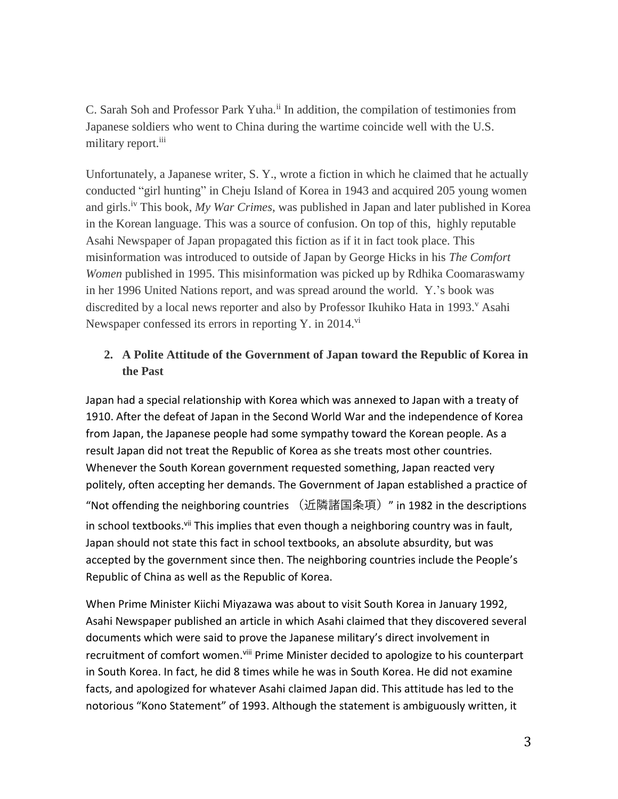C. Sarah Soh and Professor Park Yuha.<sup>ii</sup> In addition, the compilation of testimonies from Japanese soldiers who went to China during the wartime coincide well with the U.S. military report.<sup>iii</sup>

Unfortunately, a Japanese writer, S. Y., wrote a fiction in which he claimed that he actually conducted "girl hunting" in Cheju Island of Korea in 1943 and acquired 205 young women and girls.iv This book, *My War Crimes*, was published in Japan and later published in Korea in the Korean language. This was a source of confusion. On top of this, highly reputable Asahi Newspaper of Japan propagated this fiction as if it in fact took place. This misinformation was introduced to outside of Japan by George Hicks in his *The Comfort Women* published in 1995. This misinformation was picked up by Rdhika Coomaraswamy in her 1996 United Nations report, and was spread around the world. Y.'s book was discredited by a local news reporter and also by Professor Ikuhiko Hata in 1993.<sup>v</sup> Asahi Newspaper confessed its errors in reporting Y. in  $2014$ .<sup>vi</sup>

## **2. A Polite Attitude of the Government of Japan toward the Republic of Korea in the Past**

Japan had a special relationship with Korea which was annexed to Japan with a treaty of 1910. After the defeat of Japan in the Second World War and the independence of Korea from Japan, the Japanese people had some sympathy toward the Korean people. As a result Japan did not treat the Republic of Korea as she treats most other countries. Whenever the South Korean government requested something, Japan reacted very politely, often accepting her demands. The Government of Japan established a practice of "Not offending the neighboring countries (近隣諸国条項)" in 1982 in the descriptions in school textbooks.<sup>vii</sup> This implies that even though a neighboring country was in fault, Japan should not state this fact in school textbooks, an absolute absurdity, but was accepted by the government since then. The neighboring countries include the People's Republic of China as well as the Republic of Korea.

When Prime Minister Kiichi Miyazawa was about to visit South Korea in January 1992, Asahi Newspaper published an article in which Asahi claimed that they discovered several documents which were said to prove the Japanese military's direct involvement in recruitment of comfort women.<sup>viii</sup> Prime Minister decided to apologize to his counterpart in South Korea. In fact, he did 8 times while he was in South Korea. He did not examine facts, and apologized for whatever Asahi claimed Japan did. This attitude has led to the notorious "Kono Statement" of 1993. Although the statement is ambiguously written, it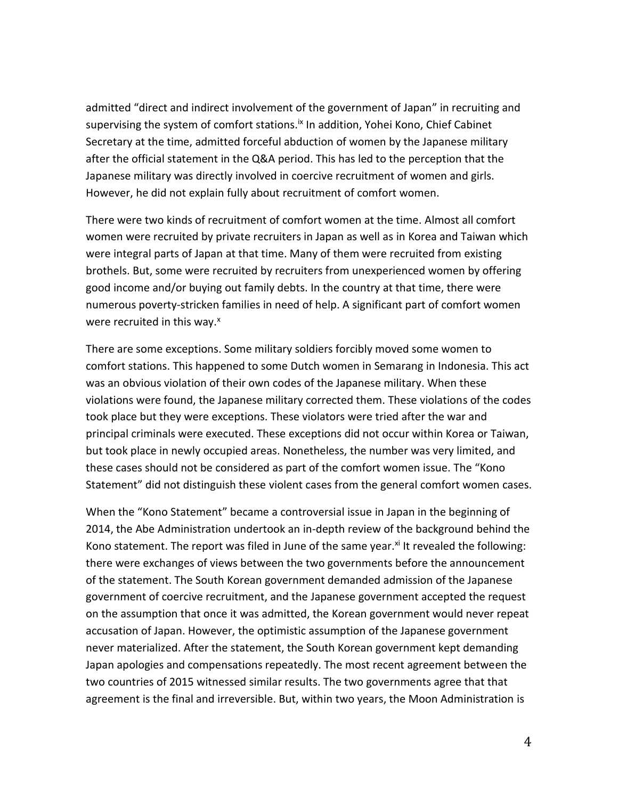admitted "direct and indirect involvement of the government of Japan" in recruiting and supervising the system of comfort stations.<sup>ix</sup> In addition, Yohei Kono, Chief Cabinet Secretary at the time, admitted forceful abduction of women by the Japanese military after the official statement in the Q&A period. This has led to the perception that the Japanese military was directly involved in coercive recruitment of women and girls. However, he did not explain fully about recruitment of comfort women.

There were two kinds of recruitment of comfort women at the time. Almost all comfort women were recruited by private recruiters in Japan as well as in Korea and Taiwan which were integral parts of Japan at that time. Many of them were recruited from existing brothels. But, some were recruited by recruiters from unexperienced women by offering good income and/or buying out family debts. In the country at that time, there were numerous poverty-stricken families in need of help. A significant part of comfort women were recruited in this way.<sup>x</sup>

There are some exceptions. Some military soldiers forcibly moved some women to comfort stations. This happened to some Dutch women in Semarang in Indonesia. This act was an obvious violation of their own codes of the Japanese military. When these violations were found, the Japanese military corrected them. These violations of the codes took place but they were exceptions. These violators were tried after the war and principal criminals were executed. These exceptions did not occur within Korea or Taiwan, but took place in newly occupied areas. Nonetheless, the number was very limited, and these cases should not be considered as part of the comfort women issue. The "Kono Statement" did not distinguish these violent cases from the general comfort women cases.

When the "Kono Statement" became a controversial issue in Japan in the beginning of 2014, the Abe Administration undertook an in-depth review of the background behind the Kono statement. The report was filed in June of the same year.<sup>xi</sup> It revealed the following: there were exchanges of views between the two governments before the announcement of the statement. The South Korean government demanded admission of the Japanese government of coercive recruitment, and the Japanese government accepted the request on the assumption that once it was admitted, the Korean government would never repeat accusation of Japan. However, the optimistic assumption of the Japanese government never materialized. After the statement, the South Korean government kept demanding Japan apologies and compensations repeatedly. The most recent agreement between the two countries of 2015 witnessed similar results. The two governments agree that that agreement is the final and irreversible. But, within two years, the Moon Administration is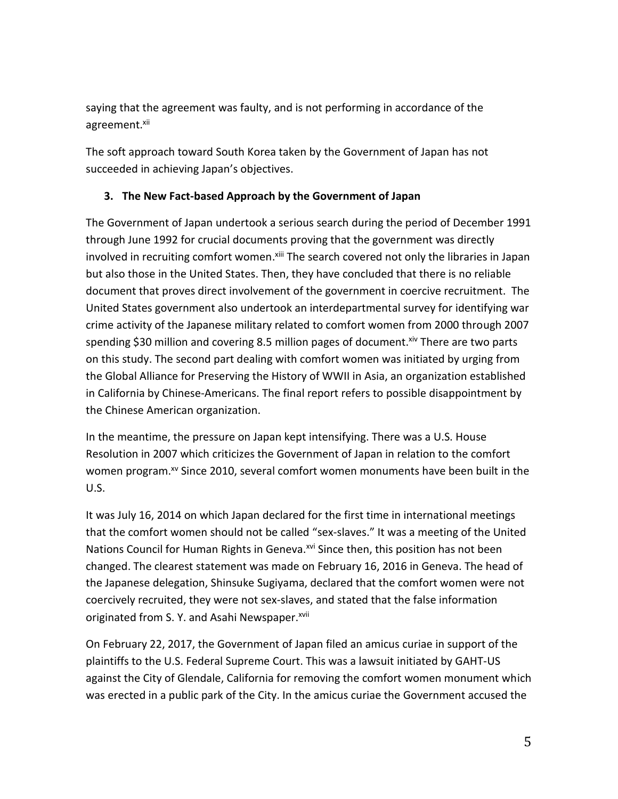saying that the agreement was faulty, and is not performing in accordance of the agreement.<sup>xii</sup>

The soft approach toward South Korea taken by the Government of Japan has not succeeded in achieving Japan's objectives.

### **3. The New Fact-based Approach by the Government of Japan**

The Government of Japan undertook a serious search during the period of December 1991 through June 1992 for crucial documents proving that the government was directly involved in recruiting comfort women.<sup>xiii</sup> The search covered not only the libraries in Japan but also those in the United States. Then, they have concluded that there is no reliable document that proves direct involvement of the government in coercive recruitment. The United States government also undertook an interdepartmental survey for identifying war crime activity of the Japanese military related to comfort women from 2000 through 2007 spending \$30 million and covering 8.5 million pages of document. Xiv There are two parts on this study. The second part dealing with comfort women was initiated by urging from the Global Alliance for Preserving the History of WWII in Asia, an organization established in California by Chinese-Americans. The final report refers to possible disappointment by the Chinese American organization.

In the meantime, the pressure on Japan kept intensifying. There was a U.S. House Resolution in 2007 which criticizes the Government of Japan in relation to the comfort women program.<sup>xv</sup> Since 2010, several comfort women monuments have been built in the U.S.

It was July 16, 2014 on which Japan declared for the first time in international meetings that the comfort women should not be called "sex-slaves." It was a meeting of the United Nations Council for Human Rights in Geneva.<sup>xvi</sup> Since then, this position has not been changed. The clearest statement was made on February 16, 2016 in Geneva. The head of the Japanese delegation, Shinsuke Sugiyama, declared that the comfort women were not coercively recruited, they were not sex-slaves, and stated that the false information originated from S. Y. and Asahi Newspaper.<sup>xvii</sup>

On February 22, 2017, the Government of Japan filed an amicus curiae in support of the plaintiffs to the U.S. Federal Supreme Court. This was a lawsuit initiated by GAHT-US against the City of Glendale, California for removing the comfort women monument which was erected in a public park of the City. In the amicus curiae the Government accused the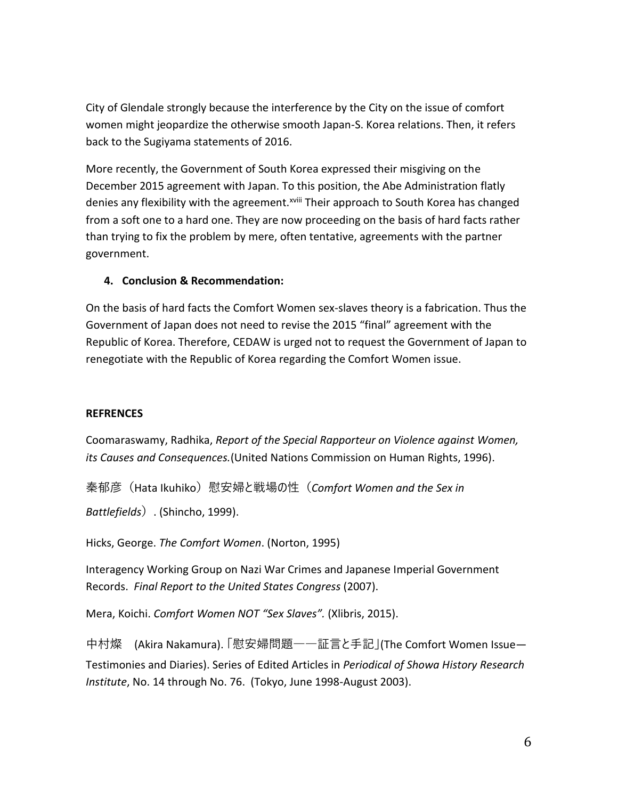City of Glendale strongly because the interference by the City on the issue of comfort women might jeopardize the otherwise smooth Japan-S. Korea relations. Then, it refers back to the Sugiyama statements of 2016.

More recently, the Government of South Korea expressed their misgiving on the December 2015 agreement with Japan. To this position, the Abe Administration flatly denies any flexibility with the agreement.<sup>xviii</sup> Their approach to South Korea has changed from a soft one to a hard one. They are now proceeding on the basis of hard facts rather than trying to fix the problem by mere, often tentative, agreements with the partner government.

### **4. Conclusion & Recommendation:**

On the basis of hard facts the Comfort Women sex-slaves theory is a fabrication. Thus the Government of Japan does not need to revise the 2015 "final" agreement with the Republic of Korea. Therefore, CEDAW is urged not to request the Government of Japan to renegotiate with the Republic of Korea regarding the Comfort Women issue.

#### **REFRENCES**

Coomaraswamy, Radhika, *Report of the Special Rapporteur on Violence against Women, its Causes and Consequences.*(United Nations Commission on Human Rights, 1996).

秦郁彦(Hata Ikuhiko)慰安婦と戦場の性(*Comfort Women and the Sex in* 

*Battlefields*). (Shincho, 1999).

Hicks, George. *The Comfort Women*. (Norton, 1995)

Interagency Working Group on Nazi War Crimes and Japanese Imperial Government Records. *Final Report to the United States Congress* (2007).

Mera, Koichi. *Comfort Women NOT "Sex Slaves".* (Xlibris, 2015).

中村燦 (Akira Nakamura). 「慰安婦問題――証言と手記」(The Comfort Women Issue— Testimonies and Diaries). Series of Edited Articles in *Periodical of Showa History Research Institute*, No. 14 through No. 76. (Tokyo, June 1998-August 2003).